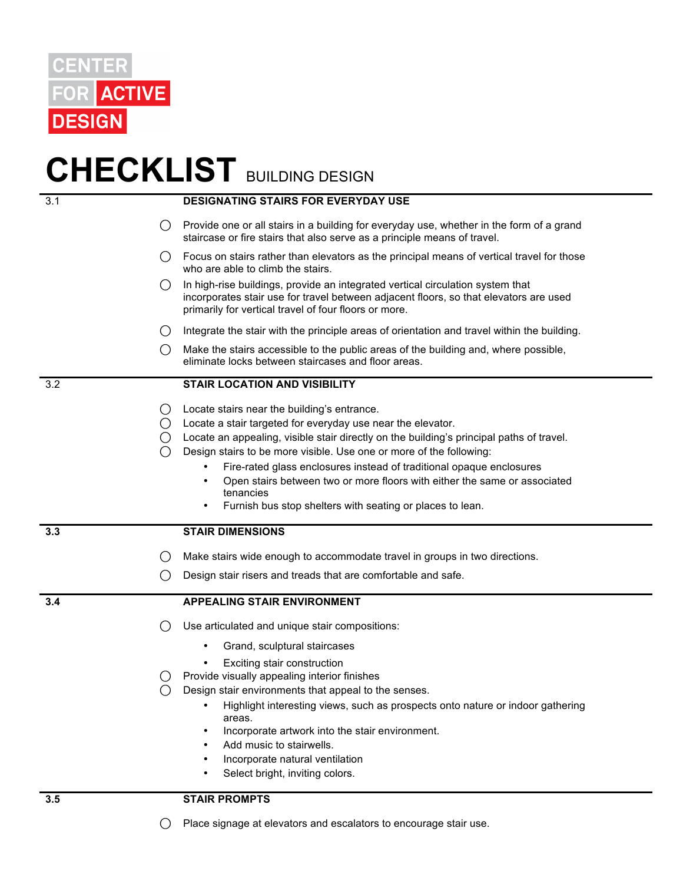

## **CHECKLIST** BUILDING DESIGN

| 3.1 |                                      | <b>DESIGNATING STAIRS FOR EVERYDAY USE</b>                                                                                                                                                                                                                                                                                                                                                                                                                                                                                |
|-----|--------------------------------------|---------------------------------------------------------------------------------------------------------------------------------------------------------------------------------------------------------------------------------------------------------------------------------------------------------------------------------------------------------------------------------------------------------------------------------------------------------------------------------------------------------------------------|
|     | ()                                   | Provide one or all stairs in a building for everyday use, whether in the form of a grand<br>staircase or fire stairs that also serve as a principle means of travel.                                                                                                                                                                                                                                                                                                                                                      |
|     | ( )                                  | Focus on stairs rather than elevators as the principal means of vertical travel for those<br>who are able to climb the stairs.                                                                                                                                                                                                                                                                                                                                                                                            |
|     | ()                                   | In high-rise buildings, provide an integrated vertical circulation system that<br>incorporates stair use for travel between adjacent floors, so that elevators are used<br>primarily for vertical travel of four floors or more.                                                                                                                                                                                                                                                                                          |
|     | ()                                   | Integrate the stair with the principle areas of orientation and travel within the building.                                                                                                                                                                                                                                                                                                                                                                                                                               |
|     | ( )                                  | Make the stairs accessible to the public areas of the building and, where possible,<br>eliminate locks between staircases and floor areas.                                                                                                                                                                                                                                                                                                                                                                                |
| 3.2 |                                      | <b>STAIR LOCATION AND VISIBILITY</b>                                                                                                                                                                                                                                                                                                                                                                                                                                                                                      |
|     | $\left( \quad \right)$<br>( )<br>( ) | Locate stairs near the building's entrance.<br>Locate a stair targeted for everyday use near the elevator.<br>Locate an appealing, visible stair directly on the building's principal paths of travel.<br>Design stairs to be more visible. Use one or more of the following:<br>Fire-rated glass enclosures instead of traditional opaque enclosures<br>Open stairs between two or more floors with either the same or associated<br>$\bullet$<br>tenancies<br>Furnish bus stop shelters with seating or places to lean. |
| 3.3 |                                      | <b>STAIR DIMENSIONS</b>                                                                                                                                                                                                                                                                                                                                                                                                                                                                                                   |
|     | ()                                   | Make stairs wide enough to accommodate travel in groups in two directions.                                                                                                                                                                                                                                                                                                                                                                                                                                                |
|     | $\left( \ \right)$                   | Design stair risers and treads that are comfortable and safe.                                                                                                                                                                                                                                                                                                                                                                                                                                                             |
| 3.4 |                                      | <b>APPEALING STAIR ENVIRONMENT</b>                                                                                                                                                                                                                                                                                                                                                                                                                                                                                        |
|     | ( )                                  | Use articulated and unique stair compositions:                                                                                                                                                                                                                                                                                                                                                                                                                                                                            |
|     |                                      | Grand, sculptural staircases                                                                                                                                                                                                                                                                                                                                                                                                                                                                                              |
|     | ()                                   | Exciting stair construction<br>Provide visually appealing interior finishes<br>Design stair environments that appeal to the senses.<br>Highlight interesting views, such as prospects onto nature or indoor gathering<br>areas.<br>Incorporate artwork into the stair environment.<br>$\bullet$<br>Add music to stairwells.<br>Incorporate natural ventilation<br>Select bright, inviting colors.                                                                                                                         |
| 3.5 |                                      | <b>STAIR PROMPTS</b>                                                                                                                                                                                                                                                                                                                                                                                                                                                                                                      |

⃝Place signage at elevators and escalators to encourage stair use.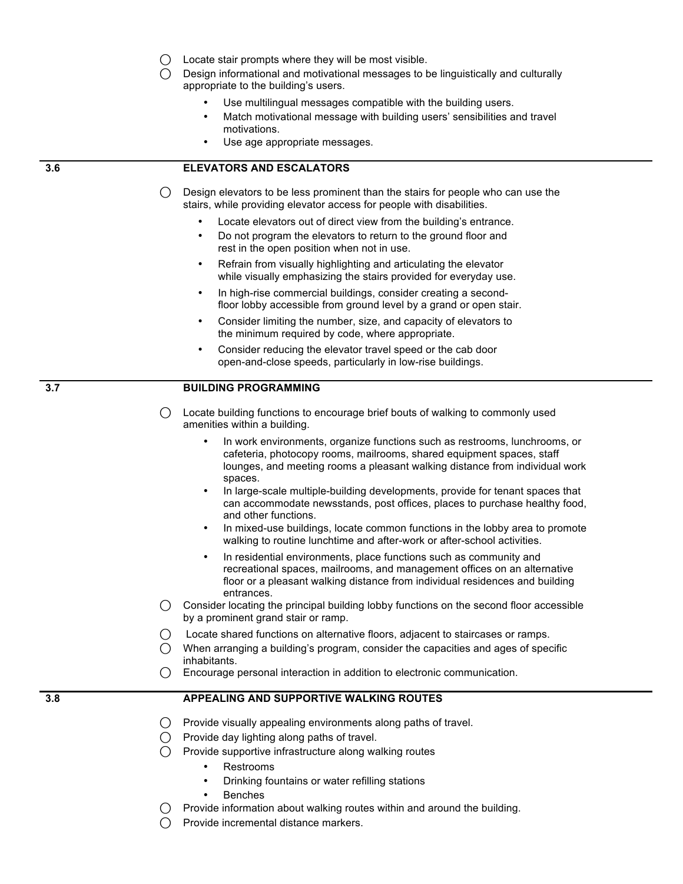- $\bigcap$  Locate stair prompts where they will be most visible.
- $\bigcap$  Design informational and motivational messages to be linguistically and culturally appropriate to the building's users.
	- Use multilingual messages compatible with the building users.
	- Match motivational message with building users' sensibilities and travel motivations.
	- Use age appropriate messages.

## **3.6 ELEVATORS AND ESCALATORS**

- $\bigcap$  Design elevators to be less prominent than the stairs for people who can use the stairs, while providing elevator access for people with disabilities.
	- Locate elevators out of direct view from the building's entrance.
	- Do not program the elevators to return to the ground floor and rest in the open position when not in use.
	- Refrain from visually highlighting and articulating the elevator while visually emphasizing the stairs provided for everyday use.
	- In high-rise commercial buildings, consider creating a secondfloor lobby accessible from ground level by a grand or open stair.
	- Consider limiting the number, size, and capacity of elevators to the minimum required by code, where appropriate.
	- Consider reducing the elevator travel speed or the cab door open-and-close speeds, particularly in low-rise buildings.

## **3.7 BUILDING PROGRAMMING**

- $\bigcirc$  Locate building functions to encourage brief bouts of walking to commonly used amenities within a building.
	- In work environments, organize functions such as restrooms, lunchrooms, or cafeteria, photocopy rooms, mailrooms, shared equipment spaces, staff lounges, and meeting rooms a pleasant walking distance from individual work spaces.
	- In large-scale multiple-building developments, provide for tenant spaces that can accommodate newsstands, post offices, places to purchase healthy food, and other functions.
	- In mixed-use buildings, locate common functions in the lobby area to promote walking to routine lunchtime and after-work or after-school activities.
	- In residential environments, place functions such as community and recreational spaces, mailrooms, and management offices on an alternative floor or a pleasant walking distance from individual residences and building entrances.
- $\bigcirc$  Consider locating the principal building lobby functions on the second floor accessible by a prominent grand stair or ramp.
- ⃝ Locate shared functions on alternative floors, adjacent to staircases or ramps.
- $\bigcirc$  When arranging a building's program, consider the capacities and ages of specific inhabitants.
- ⃝Encourage personal interaction in addition to electronic communication.

## **3.8 APPEALING AND SUPPORTIVE WALKING ROUTES**

- $\bigcirc$  Provide visually appealing environments along paths of travel.
- ⃝Provide day lighting along paths of travel.
- $\bigcap$  Provide supportive infrastructure along walking routes
	- Restrooms
	- Drinking fountains or water refilling stations
	- **Benches**
	- Provide information about walking routes within and around the building.
- ⃝Provide incremental distance markers.